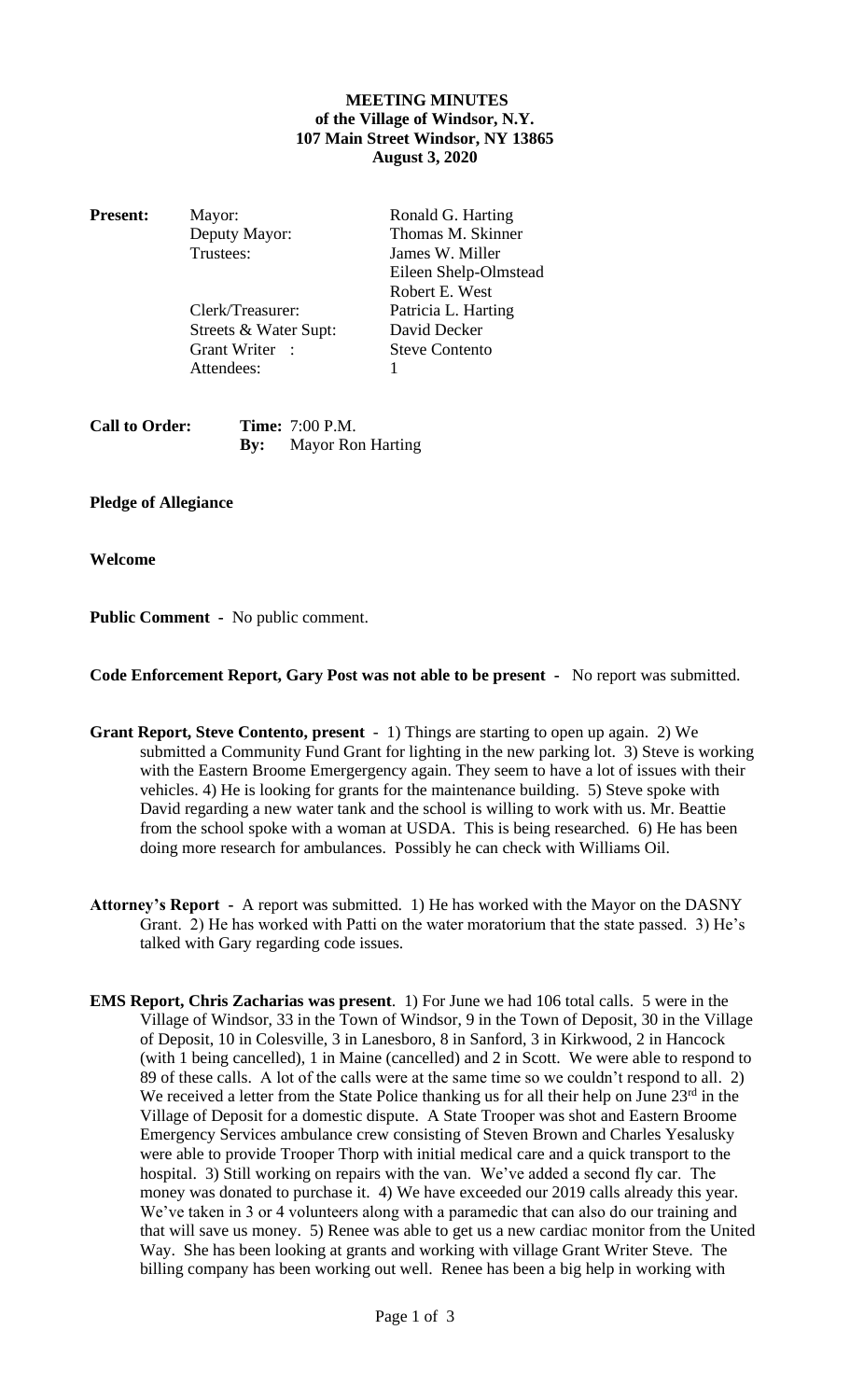## **MEETING MINUTES of the Village of Windsor, N.Y. 107 Main Street Windsor, NY 13865 August 3, 2020**

| <b>Present:</b> | Mayor:                | Ronald G. Harting     |
|-----------------|-----------------------|-----------------------|
|                 | Deputy Mayor:         | Thomas M. Skinner     |
|                 | Trustees:             | James W. Miller       |
|                 |                       | Eileen Shelp-Olmstead |
|                 |                       | Robert E. West        |
|                 | Clerk/Treasurer:      | Patricia L. Harting   |
|                 | Streets & Water Supt: | David Decker          |
|                 | Grant Writer :        | <b>Steve Contento</b> |

Attendees: 1

| <b>Call to Order:</b> | <b>Time:</b> 7:00 P.M.       |  |
|-----------------------|------------------------------|--|
|                       | <b>By:</b> Mayor Ron Harting |  |

**Pledge of Allegiance**

**Welcome**

**Public Comment -** No public comment.

**Code Enforcement Report, Gary Post was not able to be present -** No report was submitted.

- **Grant Report, Steve Contento, present** 1) Things are starting to open up again. 2) We submitted a Community Fund Grant for lighting in the new parking lot. 3) Steve is working with the Eastern Broome Emergergency again. They seem to have a lot of issues with their vehicles. 4) He is looking for grants for the maintenance building. 5) Steve spoke with David regarding a new water tank and the school is willing to work with us. Mr. Beattie from the school spoke with a woman at USDA. This is being researched. 6) He has been doing more research for ambulances. Possibly he can check with Williams Oil.
- **Attorney's Report -** A report was submitted. 1) He has worked with the Mayor on the DASNY Grant. 2) He has worked with Patti on the water moratorium that the state passed. 3) He's talked with Gary regarding code issues.
- **EMS Report, Chris Zacharias was present**. 1) For June we had 106 total calls. 5 were in the Village of Windsor, 33 in the Town of Windsor, 9 in the Town of Deposit, 30 in the Village of Deposit, 10 in Colesville, 3 in Lanesboro, 8 in Sanford, 3 in Kirkwood, 2 in Hancock (with 1 being cancelled), 1 in Maine (cancelled) and 2 in Scott. We were able to respond to 89 of these calls. A lot of the calls were at the same time so we couldn't respond to all. 2) We received a letter from the State Police thanking us for all their help on June  $23<sup>rd</sup>$  in the Village of Deposit for a domestic dispute. A State Trooper was shot and Eastern Broome Emergency Services ambulance crew consisting of Steven Brown and Charles Yesalusky were able to provide Trooper Thorp with initial medical care and a quick transport to the hospital. 3) Still working on repairs with the van. We've added a second fly car. The money was donated to purchase it. 4) We have exceeded our 2019 calls already this year. We've taken in 3 or 4 volunteers along with a paramedic that can also do our training and that will save us money. 5) Renee was able to get us a new cardiac monitor from the United Way. She has been looking at grants and working with village Grant Writer Steve. The billing company has been working out well. Renee has been a big help in working with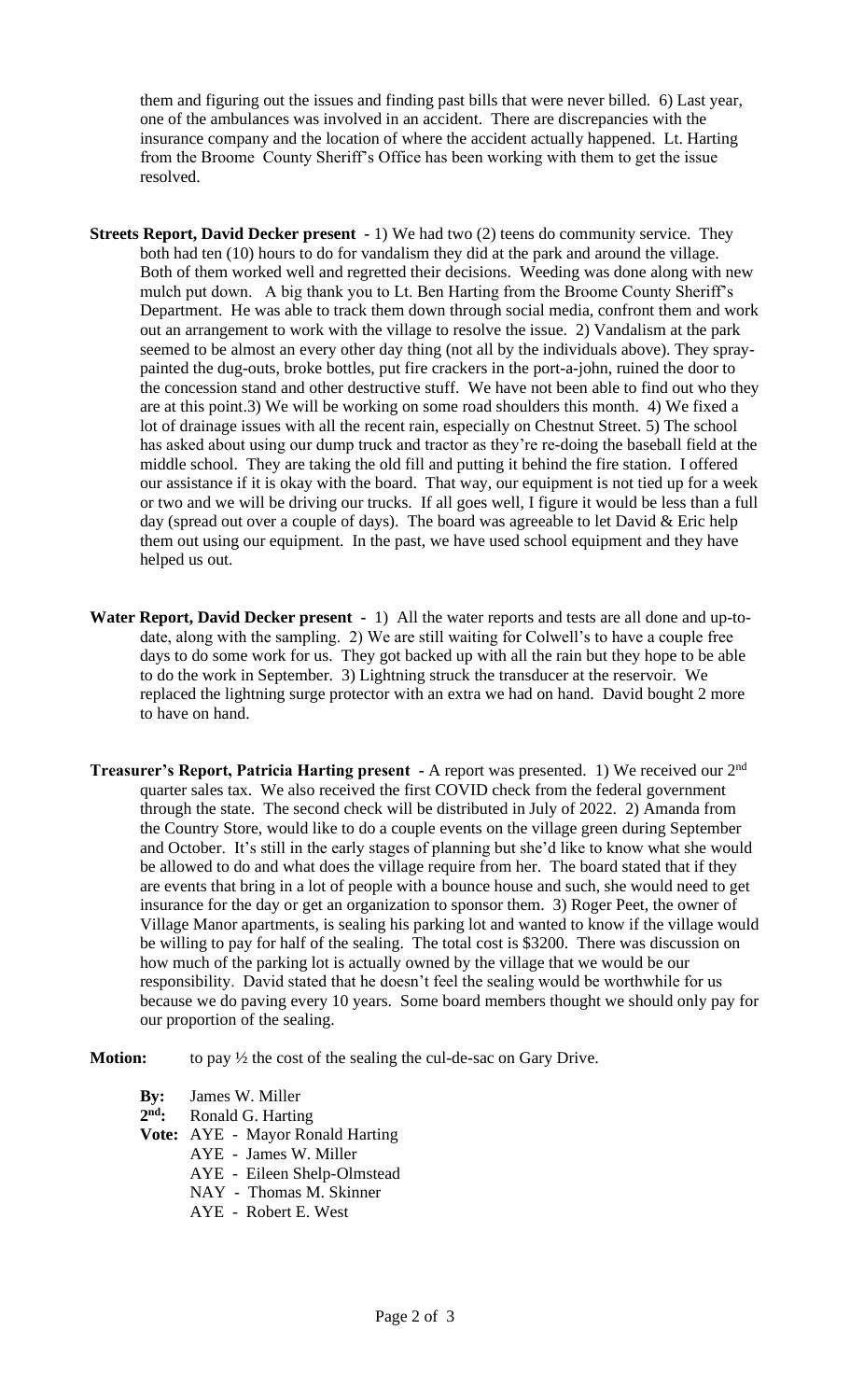them and figuring out the issues and finding past bills that were never billed. 6) Last year, one of the ambulances was involved in an accident. There are discrepancies with the insurance company and the location of where the accident actually happened. Lt. Harting from the Broome County Sheriff's Office has been working with them to get the issue resolved.

- **Streets Report, David Decker present -** 1) We had two (2) teens do community service. They both had ten (10) hours to do for vandalism they did at the park and around the village. Both of them worked well and regretted their decisions. Weeding was done along with new mulch put down. A big thank you to Lt. Ben Harting from the Broome County Sheriff's Department. He was able to track them down through social media, confront them and work out an arrangement to work with the village to resolve the issue. 2) Vandalism at the park seemed to be almost an every other day thing (not all by the individuals above). They spraypainted the dug-outs, broke bottles, put fire crackers in the port-a-john, ruined the door to the concession stand and other destructive stuff. We have not been able to find out who they are at this point.3) We will be working on some road shoulders this month. 4) We fixed a lot of drainage issues with all the recent rain, especially on Chestnut Street. 5) The school has asked about using our dump truck and tractor as they're re-doing the baseball field at the middle school. They are taking the old fill and putting it behind the fire station. I offered our assistance if it is okay with the board. That way, our equipment is not tied up for a week or two and we will be driving our trucks. If all goes well, I figure it would be less than a full day (spread out over a couple of days). The board was agreeable to let David  $&$  Eric help them out using our equipment. In the past, we have used school equipment and they have helped us out.
- **Water Report, David Decker present** 1) All the water reports and tests are all done and up-todate, along with the sampling. 2) We are still waiting for Colwell's to have a couple free days to do some work for us. They got backed up with all the rain but they hope to be able to do the work in September. 3) Lightning struck the transducer at the reservoir. We replaced the lightning surge protector with an extra we had on hand. David bought 2 more to have on hand.
- **Treasurer's Report, Patricia Harting present -** A report was presented. 1) We received our 2nd quarter sales tax. We also received the first COVID check from the federal government through the state. The second check will be distributed in July of 2022. 2) Amanda from the Country Store, would like to do a couple events on the village green during September and October. It's still in the early stages of planning but she'd like to know what she would be allowed to do and what does the village require from her. The board stated that if they are events that bring in a lot of people with a bounce house and such, she would need to get insurance for the day or get an organization to sponsor them. 3) Roger Peet, the owner of Village Manor apartments, is sealing his parking lot and wanted to know if the village would be willing to pay for half of the sealing. The total cost is \$3200. There was discussion on how much of the parking lot is actually owned by the village that we would be our responsibility. David stated that he doesn't feel the sealing would be worthwhile for us because we do paving every 10 years. Some board members thought we should only pay for our proportion of the sealing.

**Motion:** to pay  $\frac{1}{2}$  the cost of the sealing the cul-de-sac on Gary Drive.

| <b>By:</b> James W. Miller              |
|-----------------------------------------|
| $2nd$ : Ronald G. Harting               |
| <b>Vote:</b> AYE - Mayor Ronald Harting |

- AYE James W. Miller
	- AYE Eileen Shelp-Olmstead
	- NAY Thomas M. Skinner
	- AYE Robert E. West